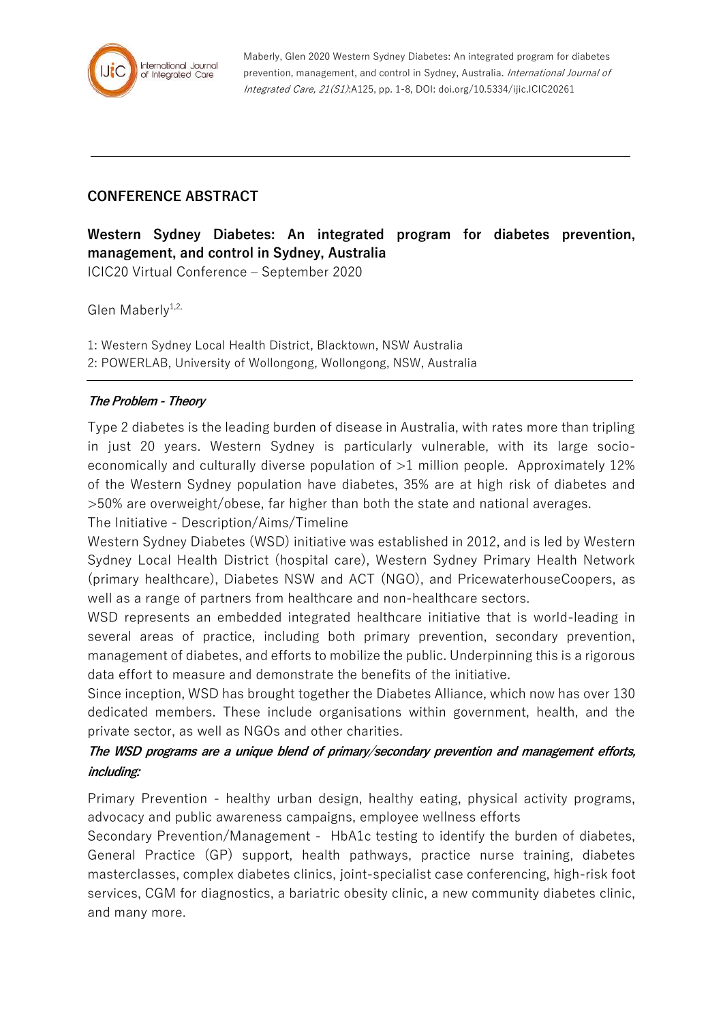

Maberly, Glen 2020 Western Sydney Diabetes: An integrated program for diabetes prevention, management, and control in Sydney, Australia. International Journal of Integrated Care, 21(S1):A125, pp. 1-8, DOI: doi.org/10.5334/ijic.ICIC20261

## **CONFERENCE ABSTRACT**

**Western Sydney Diabetes: An integrated program for diabetes prevention, management, and control in Sydney, Australia** ICIC20 Virtual Conference – September 2020

Glen Maberly $1,2$ ,

1: Western Sydney Local Health District, Blacktown, NSW Australia 2: POWERLAB, University of Wollongong, Wollongong, NSW, Australia

## **The Problem - Theory**

Type 2 diabetes is the leading burden of disease in Australia, with rates more than tripling in just 20 years. Western Sydney is particularly vulnerable, with its large socioeconomically and culturally diverse population of  $>1$  million people. Approximately 12% of the Western Sydney population have diabetes, 35% are at high risk of diabetes and >50% are overweight/obese, far higher than both the state and national averages.

The Initiative - Description/Aims/Timeline

Western Sydney Diabetes (WSD) initiative was established in 2012, and is led by Western Sydney Local Health District (hospital care), Western Sydney Primary Health Network (primary healthcare), Diabetes NSW and ACT (NGO), and PricewaterhouseCoopers, as well as a range of partners from healthcare and non-healthcare sectors.

WSD represents an embedded integrated healthcare initiative that is world-leading in several areas of practice, including both primary prevention, secondary prevention, management of diabetes, and efforts to mobilize the public. Underpinning this is a rigorous data effort to measure and demonstrate the benefits of the initiative.

Since inception, WSD has brought together the Diabetes Alliance, which now has over 130 dedicated members. These include organisations within government, health, and the private sector, as well as NGOs and other charities.

## **The WSD programs are a unique blend of primary/secondary prevention and management efforts, including:**

Primary Prevention - healthy urban design, healthy eating, physical activity programs, advocacy and public awareness campaigns, employee wellness efforts

Secondary Prevention/Management - HbA1c testing to identify the burden of diabetes, General Practice (GP) support, health pathways, practice nurse training, diabetes masterclasses, complex diabetes clinics, joint-specialist case conferencing, high-risk foot services, CGM for diagnostics, a bariatric obesity clinic, a new community diabetes clinic, and many more.